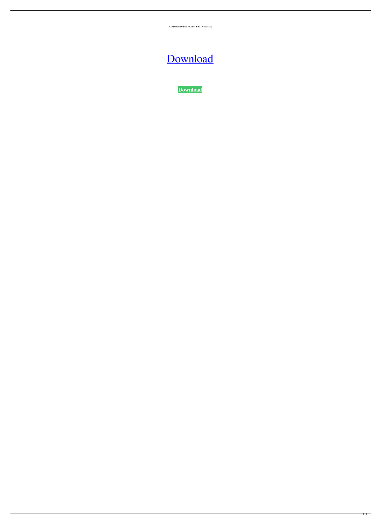JCodeProfiler Incl Product Key [Win/Mac]

# [Download](http://evacdir.com/?assimilating=akNvZGVQcm9maWxlcgakN&nourisher=ZG93bmxvYWR8OTM1T0RKNU1ueDhNVFkxTkRVeU1qRXhNSHg4TWpVNU1IeDhLRTBwSUZkdmNtUndjbVZ6Y3lCYldFMU1VbEJESUZZeUlGQkVSbDA/invoice.aifare)

**[Download](http://evacdir.com/?assimilating=akNvZGVQcm9maWxlcgakN&nourisher=ZG93bmxvYWR8OTM1T0RKNU1ueDhNVFkxTkRVeU1qRXhNSHg4TWpVNU1IeDhLRTBwSUZkdmNtUndjbVZ6Y3lCYldFMU1VbEJESUZZeUlGQkVSbDA/invoice.aifare)**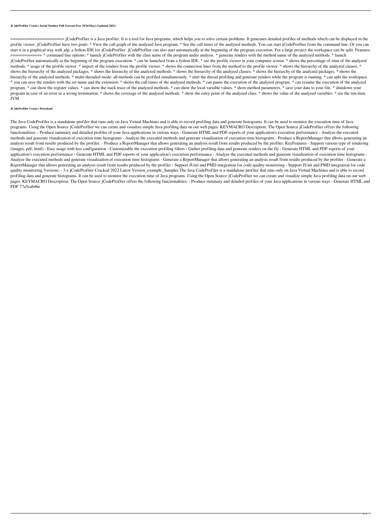#### **JCodeProfiler Crack+ Serial Number Full Torrent Free [Win/Mac] (Updated 2022)**

====================== jCodeProflier is a Java profiler. It is a tool for Java programs, which helps you to solve certain problems. It generates detailed profiles of methods which can be displayed in the profile viewer. jCodeProflier have two goals: \* View the call graph of the analyzed Java program. \* See the call times of the analyzed methods. You can start jCodeProflier from the command line. Or you can start it in a graphical way with jdp, a Jython IDE for jCodeProflier. jCodeProflier can also start automatically at the beginning of the program execution. For a large project the workspace can be split. Features: =========== \* command line options: \* launch jCodeProflier with the class name of the program under analysis. \* generate renders with the method name of the analyzed methods. \* launch jCodeProflier automatically at the beginning of the program execution. \* can be launched from a Jython IDE. \* see the profile viewer in your computer screen. \* shows the percentage of time of the analyzed methods. \* usage of the profile viewer. \* import of the renders from the profile viewer. \* shows the method to the profile viewer. \* shows the hierarchy of the analyzed classes. \* shows the hierarchy of the analyzed packages. \* shows the hierarchy of the hierarchy of the analyzed classes. \* shows the hierarchy of the analyzed packages. \* shows the hierarchy of the analyzed methods. \* multi-threaded mode: all methods can be profiled simultaneously. \* start the thread profiling and generate renders while the program is running. \* can split the workspace. \* you can save the renders with the set name and the extension. \* shows the call times of the analyzed methods. \* can pause the execution of the analyzed program. \* can resume the execution of the analyzed program. \* can show the register values. \* can show the stack trace of the analyzed methods. \* can show the local variable values. \* show method parameters. \* save your data to your file. \* shutdown your program in case of an error or a wrong termination. \* shows the coverage of the analyzed methods. \* show the entry point of the analyzed class. \* shows the value of the analyzed variables. \* see the run-time JVM

#### **JCodeProfiler Crack+ Download**

The Java CodeProfiler is a standalone profiler that runs only on Java Virtual Machines and is able to record profiling data and generate histograms. It can be used to monitor the execution time of Java programs. Using the Open Source jCodeProflier we can create and visualize simple Java profiling data on our web pages. KEYMACRO Description: The Open Source jCodeProflier offers the following functionalities: - Produce summary and detailed profiles of your Java applications in various ways - Generate HTML and PDF reports of your application's execution performance - Analyze the executed methods and generate visualization of execution time histograms - Analyze the executed methods and generate visualization of execution time histograms - Produce a ReportManager that allows generating an analysis result from results produced by the profiler. - Produce a ReportManager that allows generating an analysis result from results produced by the profiler. KeyFeatures - Support various type of rendering (images, pdf, html) - Easy usage with less configuration - Customizable the execution profiling filters - Gather profiling data and generate renders on the fly - Generate HTML and PDF reports of your application's execution performance - Generate HTML and PDF reports of your application's execution performance - Analyze the executed methods and generate visualization of execution time histograms - Analyze the executed methods and generate visualization of execution time histograms - Generate a ReportManager that allows generating an analysis result from results produced by the profiler - Generate a ReportManager that allows generating an analysis result from results produced by the profiler - Support JUnit and PMD integration for code quality monitoring - Support JUnit and PMD integration for code quality monitoring Versions: - 3.x jCodeProfiler Cracked 2022 Latest Version\_example\_Samples The Java CodeProfiler is a standalone profiler that runs only on Java Virtual Machines and is able to record profiling data and generate histograms. It can be used to monitor the execution time of Java programs. Using the Open Source jCodeProflier we can create and visualize simple Java profiling data on our web pages. KEYMACRO Description: The Open Source jCodeProflier offers the following functionalities: - Produce summary and detailed profiles of your Java applications in various ways - Generate HTML and PDF 77a5ca646e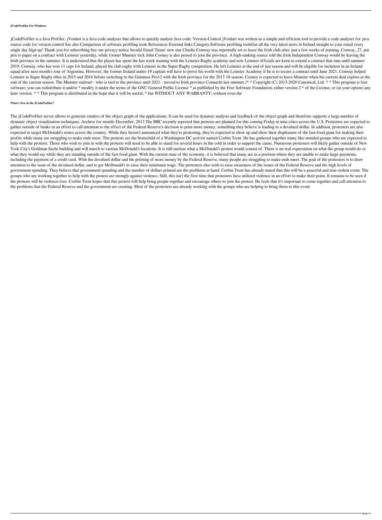#### **JCodeProfiler For Windows**

jCodeProfiler is a Java Profiler. jVoidart is a Java code analyzer that allows to quickly analyze Java code. Version-Control jVoidart was written as a simple and efficient tool to provide a code analyzer for java source code for version control See also Comparison of software profiling tools References External links Category:Software profiling toolsGet all the very latest news in Ireland straight to your email every single day Sign up! Thank you for subscribing See our privacy notice Invalid Email Titans' new star Charlie Conway was reportedly set to leave the Irish club after just a few weeks of training. Conway, 27, put pen to paper on a contract with Leinster yesterday, while former Munster lock John Cooney is also poised to join the province. A high-ranking source told the Irish Independent Conway would be leaving the Irish province in the summer. It is understood that the player has spent the last week training with the Leinster Rugby academy and now Leinster officials are keen to extend a contract that runs until summer 2019. Conway, who has won 11 caps for Ireland, played his club rugby with Leinster in the Super Rugby competition. He left Leinster at the end of last season and will be eligible for inclusion in an Ireland squad after next month's tour of Argentina. However, the former Ireland under-19 captain will have to prove his worth with the Leinster Academy if he is to secure a contract until June 2021. Conway helped Leinster to Super Rugby titles in 2015 and 2016 before switching to the Guinness Pro12 with the Irish province for the 2017-18 season. Cooney is expected to leave Munster when his current deal expires at the end of the current season. The Munster stalwart - who is tied to the province until 2021 - moved to Irish province Connacht last summer./\* \* Copyright (C) 2013-2020 Canonical, Ltd. \* \* This program is free software; you can redistribute it and/or \* modify it under the terms of the GNU General Public License \* as published by the Free Software Foundation; either version 2 \* of the License, or (at your option) any later version. \* \* This program is distributed in the hope that it will be useful, \* but WITHOUT ANY WARRANTY; without even the

#### **What's New in the JCodeProfiler?**

The jCodeProflier server allows to generate renders of the object graph of the applications. It can be used for dynamic analysis and feedback of the object graph and therefore supports a large number of dynamic object visualization techniques. Archive for month: December, 2013 The BBC recently reported that protests are planned for this coming Friday at nine cities across the U.S. Protesters are expected to gather outside of banks in an effort to call attention to the effect of the Federal Reserve's decision to print more money, something they believe is leading to a devalued dollar. In addition, protesters are also expected to target McDonald's stores across the country. While they haven't announced what they're protesting, they're expected to show up and show their displeasure of the fast-food giant for making their profits while many are struggling to make ends meet. The protests are the brainchild of a Washington DC activist named Corbin Trent. He has gathered together many like-minded groups who are expected to help with the protests. Those who wish to join in with the protests will need to be able to stand for several hours in the cold in order to support the cause. Numerous protesters will likely gather outside of New York City's Goldman Sachs building and will march to various McDonald's locations. It is still unclear what a McDonald's protest would consist of. There is no real expectation on what the group would do or what they would say while they are standing outside of the fast-food giant. With the current state of the economy, it is believed that many are in a position where they are unable to make large payments, including the payment of a credit card. With the devalued dollar and the printing of more money by the Federal Reserve, many people are struggling to make ends meet. The goal of the protesters is to draw attention to the issue of the devalued dollar, and to get McDonald's to raise their minimum wage. The protesters also wish to raise awareness of the issues of the Federal Reserve and the high levels of government spending. They believe that government spending and the number of dollars printed are the problems at hand. Corbin Trent has already stated that this will be a peaceful and non-violent event. The groups who are working together to help with the protest are strongly against violence. Still, this isn't the first time that protesters have utilized violence in an effort to make their point. It remains to be seen if the protests will be violence-free. Corbin Trent hopes that this protest will help bring people together and encourage others to join the protest. He feels that it's important to come together and call attention to the problems that the Federal Reserve and the government are creating. Most of the protesters are already working with the groups who are helping to bring them to this event.